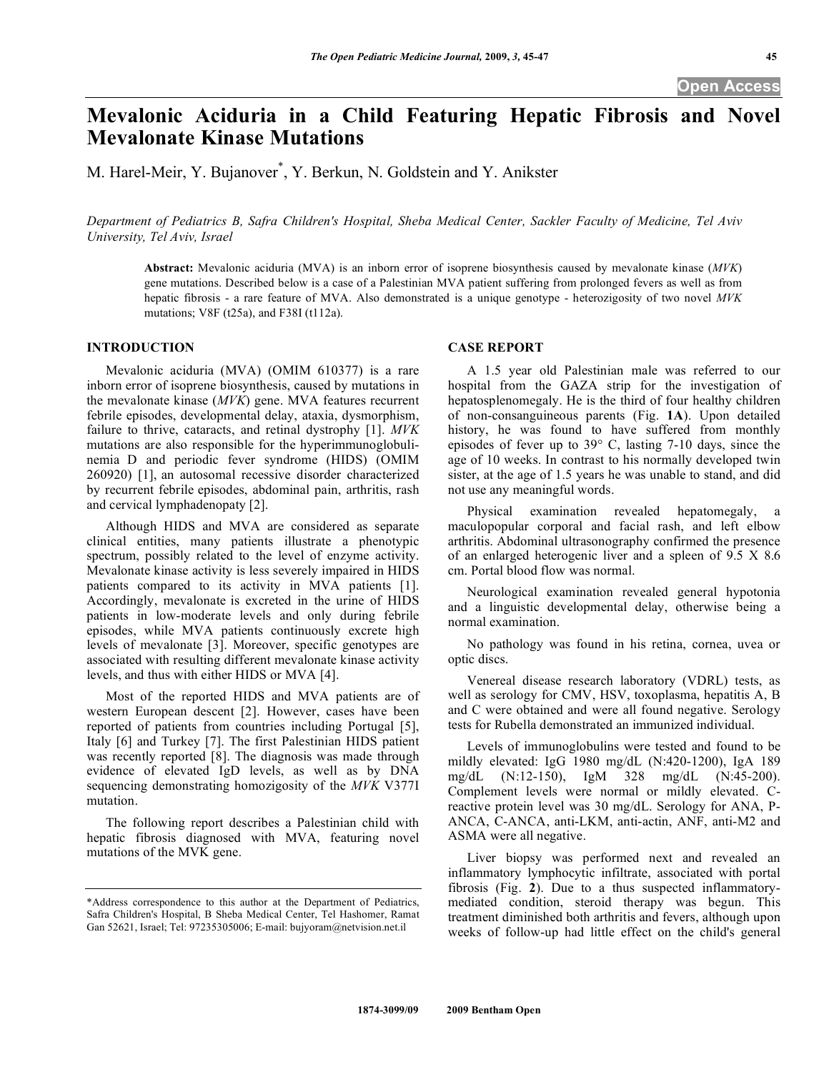# **Mevalonic Aciduria in a Child Featuring Hepatic Fibrosis and Novel Mevalonate Kinase Mutations**

M. Harel-Meir, Y. Bujanover\* , Y. Berkun, N. Goldstein and Y. Anikster

*Department of Pediatrics B, Safra Children's Hospital, Sheba Medical Center, Sackler Faculty of Medicine, Tel Aviv University, Tel Aviv, Israel* 

**Abstract:** Mevalonic aciduria (MVA) is an inborn error of isoprene biosynthesis caused by mevalonate kinase (*MVK*) gene mutations. Described below is a case of a Palestinian MVA patient suffering from prolonged fevers as well as from hepatic fibrosis - a rare feature of MVA. Also demonstrated is a unique genotype - heterozigosity of two novel *MVK* mutations; V8F (t25a), and F38I (t112a).

## **INTRODUCTION**

 Mevalonic aciduria (MVA) (OMIM 610377) is a rare inborn error of isoprene biosynthesis, caused by mutations in the mevalonate kinase (*MVK*) gene. MVA features recurrent febrile episodes, developmental delay, ataxia, dysmorphism, failure to thrive, cataracts, and retinal dystrophy [1]. *MVK* mutations are also responsible for the hyperimmunoglobulinemia D and periodic fever syndrome (HIDS) (OMIM 260920) [1], an autosomal recessive disorder characterized by recurrent febrile episodes, abdominal pain, arthritis, rash and cervical lymphadenopaty [2].

 Although HIDS and MVA are considered as separate clinical entities, many patients illustrate a phenotypic spectrum, possibly related to the level of enzyme activity. Mevalonate kinase activity is less severely impaired in HIDS patients compared to its activity in MVA patients [1]. Accordingly, mevalonate is excreted in the urine of HIDS patients in low-moderate levels and only during febrile episodes, while MVA patients continuously excrete high levels of mevalonate [3]. Moreover, specific genotypes are associated with resulting different mevalonate kinase activity levels, and thus with either HIDS or MVA [4].

 Most of the reported HIDS and MVA patients are of western European descent [2]. However, cases have been reported of patients from countries including Portugal [5], Italy [6] and Turkey [7]. The first Palestinian HIDS patient was recently reported [8]. The diagnosis was made through evidence of elevated IgD levels, as well as by DNA sequencing demonstrating homozigosity of the *MVK* V377I mutation.

 The following report describes a Palestinian child with hepatic fibrosis diagnosed with MVA, featuring novel mutations of the MVK gene.

#### **CASE REPORT**

 A 1.5 year old Palestinian male was referred to our hospital from the GAZA strip for the investigation of hepatosplenomegaly. He is the third of four healthy children of non-consanguineous parents (Fig. **1A**). Upon detailed history, he was found to have suffered from monthly episodes of fever up to 39° C, lasting 7-10 days, since the age of 10 weeks. In contrast to his normally developed twin sister, at the age of 1.5 years he was unable to stand, and did not use any meaningful words.

 Physical examination revealed hepatomegaly, a maculopopular corporal and facial rash, and left elbow arthritis. Abdominal ultrasonography confirmed the presence of an enlarged heterogenic liver and a spleen of 9.5 X 8.6 cm. Portal blood flow was normal.

 Neurological examination revealed general hypotonia and a linguistic developmental delay, otherwise being a normal examination.

 No pathology was found in his retina, cornea, uvea or optic discs.

 Venereal disease research laboratory (VDRL) tests, as well as serology for CMV, HSV, toxoplasma, hepatitis A, B and C were obtained and were all found negative. Serology tests for Rubella demonstrated an immunized individual.

 Levels of immunoglobulins were tested and found to be mildly elevated: IgG 1980 mg/dL (N:420-1200), IgA 189 mg/dL (N:12-150), IgM 328 mg/dL (N:45-200). Complement levels were normal or mildly elevated. Creactive protein level was 30 mg/dL. Serology for ANA, P-ANCA, C-ANCA, anti-LKM, anti-actin, ANF, anti-M2 and ASMA were all negative.

 Liver biopsy was performed next and revealed an inflammatory lymphocytic infiltrate, associated with portal fibrosis (Fig. **2**). Due to a thus suspected inflammatorymediated condition, steroid therapy was begun. This treatment diminished both arthritis and fevers, although upon weeks of follow-up had little effect on the child's general

<sup>\*</sup>Address correspondence to this author at the Department of Pediatrics, Safra Children's Hospital, B Sheba Medical Center, Tel Hashomer, Ramat Gan 52621, Israel; Tel: 97235305006; E-mail: bujyoram@netvision.net.il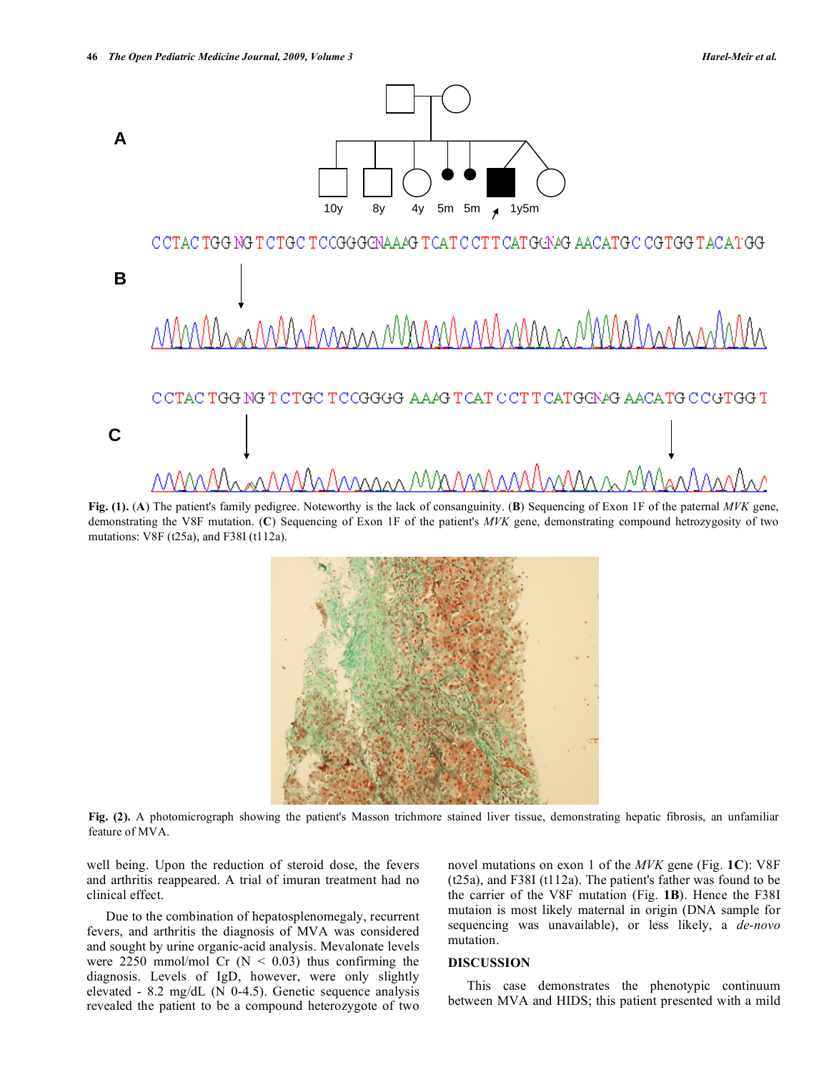

**Fig. (1).** (**A**) The patient's family pedigree. Noteworthy is the lack of consanguinity. (**B**) Sequencing of Exon 1F of the paternal *MVK* gene, demonstrating the V8F mutation. (**C**) Sequencing of Exon 1F of the patient's *MVK* gene, demonstrating compound hetrozygosity of two mutations: V8F (t25a), and F38I (t112a).



**Fig. (2).** A photomicrograph showing the patient's Masson trichmore stained liver tissue, demonstrating hepatic fibrosis, an unfamiliar feature of MVA.

well being. Upon the reduction of steroid dose, the fevers and arthritis reappeared. A trial of imuran treatment had no clinical effect.

 Due to the combination of hepatosplenomegaly, recurrent fevers, and arthritis the diagnosis of MVA was considered and sought by urine organic-acid analysis. Mevalonate levels were 2250 mmol/mol Cr ( $N < 0.03$ ) thus confirming the diagnosis. Levels of IgD, however, were only slightly elevated - 8.2 mg/dL (N 0-4.5). Genetic sequence analysis revealed the patient to be a compound heterozygote of two

novel mutations on exon 1 of the *MVK* gene (Fig. **1C**): V8F (t25a), and F38I (t112a). The patient's father was found to be the carrier of the V8F mutation (Fig. **1B**). Hence the F38I mutaion is most likely maternal in origin (DNA sample for sequencing was unavailable), or less likely, a *de-novo* mutation.

#### **DISCUSSION**

 This case demonstrates the phenotypic continuum between MVA and HIDS; this patient presented with a mild